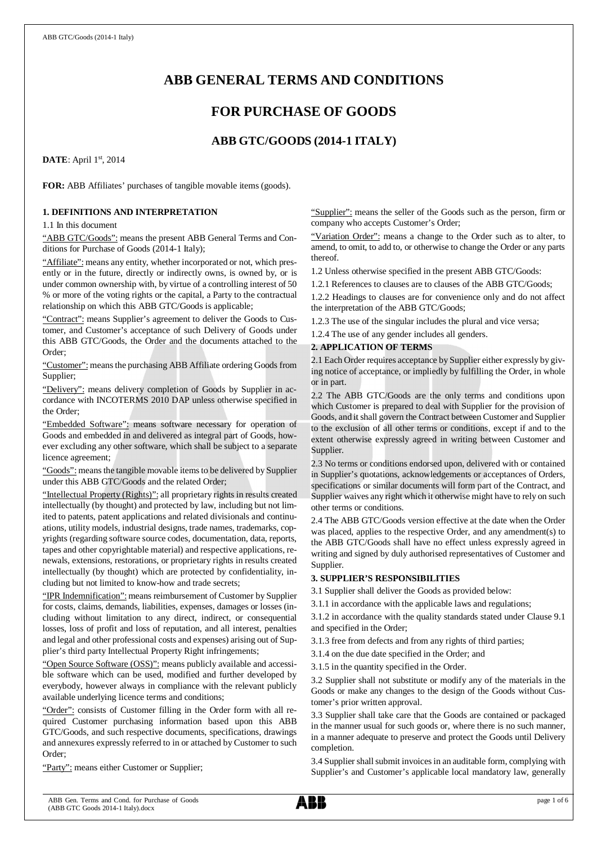# **ABB GENERAL TERMS AND CONDITIONS**

## **FOR PURCHASE OF GOODS**

### **ABB GTC/GOODS (2014-1 ITALY)**

**DATE**: April 1st, 2014

**FOR:** ABB Affiliates' purchases of tangible movable items (goods).

#### **1. DEFINITIONS AND INTERPRETATION**

1.1 In this document

"ABB GTC/Goods": means the present ABB General Terms and Conditions for Purchase of Goods (2014-1 Italy);

"Affiliate": means any entity, whether incorporated or not, which presently or in the future, directly or indirectly owns, is owned by, or is under common ownership with, by virtue of a controlling interest of 50 % or more of the voting rights or the capital, a Party to the contractual relationship on which this ABB GTC/Goods is applicable;

"Contract": means Supplier's agreement to deliver the Goods to Customer, and Customer's acceptance of such Delivery of Goods under this ABB GTC/Goods, the Order and the documents attached to the Order;

"Customer": means the purchasing ABB Affiliate ordering Goods from Supplier;

"Delivery": means delivery completion of Goods by Supplier in accordance with INCOTERMS 2010 DAP unless otherwise specified in the Order;

"Embedded Software": means software necessary for operation of Goods and embedded in and delivered as integral part of Goods, however excluding any other software, which shall be subject to a separate licence agreement;

"Goods": means the tangible movable items to be delivered by Supplier under this ABB GTC/Goods and the related Order;

"Intellectual Property (Rights)": all proprietary rights in results created intellectually (by thought) and protected by law, including but not limited to patents, patent applications and related divisionals and continuations, utility models, industrial designs, trade names, trademarks, copyrights (regarding software source codes, documentation, data, reports, tapes and other copyrightable material) and respective applications, renewals, extensions, restorations, or proprietary rights in results created intellectually (by thought) which are protected by confidentiality, including but not limited to know-how and trade secrets;

"IPR Indemnification": means reimbursement of Customer by Supplier for costs, claims, demands, liabilities, expenses, damages or losses (including without limitation to any direct, indirect, or consequential losses, loss of profit and loss of reputation, and all interest, penalties and legal and other professional costs and expenses) arising out of Supplier's third party Intellectual Property Right infringements;

"Open Source Software (OSS)": means publicly available and accessible software which can be used, modified and further developed by everybody, however always in compliance with the relevant publicly available underlying licence terms and conditions;

"Order": consists of Customer filling in the Order form with all required Customer purchasing information based upon this ABB GTC/Goods, and such respective documents, specifications, drawings and annexures expressly referred to in or attached by Customer to such Order;

"Party": means either Customer or Supplier;

"Supplier": means the seller of the Goods such as the person, firm or company who accepts Customer's Order;

"Variation Order": means a change to the Order such as to alter, to amend, to omit, to add to, or otherwise to change the Order or any parts thereof.

1.2 Unless otherwise specified in the present ABB GTC/Goods:

1.2.1 References to clauses are to clauses of the ABB GTC/Goods;

1.2.2 Headings to clauses are for convenience only and do not affect the interpretation of the ABB GTC/Goods;

1.2.3 The use of the singular includes the plural and vice versa;

1.2.4 The use of any gender includes all genders.

### **2. APPLICATION OF TERMS**

2.1 Each Order requires acceptance by Supplier either expressly by giving notice of acceptance, or impliedly by fulfilling the Order, in whole or in part.

2.2 The ABB GTC/Goods are the only terms and conditions upon which Customer is prepared to deal with Supplier for the provision of Goods, and it shall govern the Contract between Customer and Supplier to the exclusion of all other terms or conditions, except if and to the extent otherwise expressly agreed in writing between Customer and Supplier.

2.3 No terms or conditions endorsed upon, delivered with or contained in Supplier's quotations, acknowledgements or acceptances of Orders, specifications or similar documents will form part of the Contract, and Supplier waives any right which it otherwise might have to rely on such other terms or conditions.

2.4 The ABB GTC/Goods version effective at the date when the Order was placed, applies to the respective Order, and any amendment(s) to the ABB GTC/Goods shall have no effect unless expressly agreed in writing and signed by duly authorised representatives of Customer and Supplier.

#### **3. SUPPLIER'S RESPONSIBILITIES**

3.1 Supplier shall deliver the Goods as provided below:

3.1.1 in accordance with the applicable laws and regulations;

3.1.2 in accordance with the quality standards stated under Clause 9.1 and specified in the Order;

3.1.3 free from defects and from any rights of third parties;

3.1.4 on the due date specified in the Order; and

3.1.5 in the quantity specified in the Order.

3.2 Supplier shall not substitute or modify any of the materials in the Goods or make any changes to the design of the Goods without Customer's prior written approval.

3.3 Supplier shall take care that the Goods are contained or packaged in the manner usual for such goods or, where there is no such manner, in a manner adequate to preserve and protect the Goods until Delivery completion.

3.4 Supplier shall submit invoices in an auditable form, complying with Supplier's and Customer's applicable local mandatory law, generally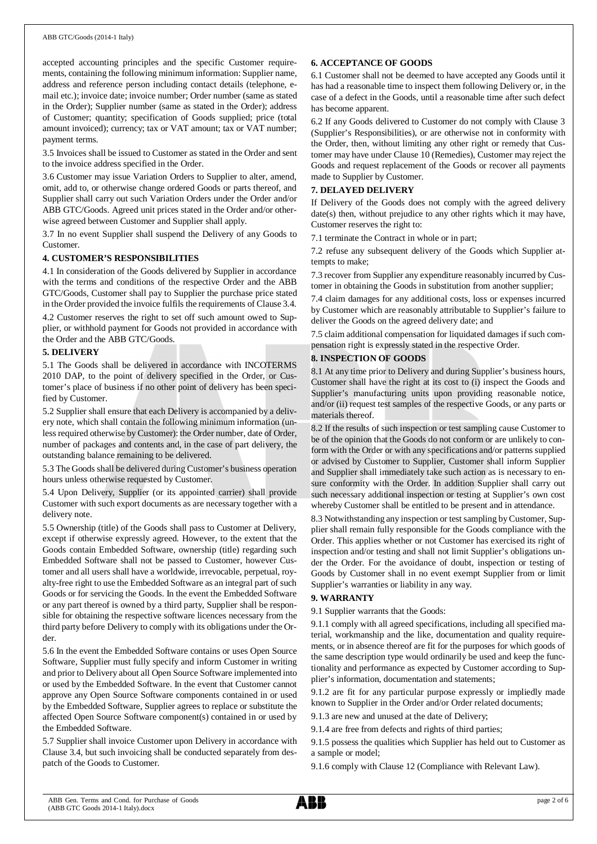#### ABB GTC/Goods (2014-1 Italy)

accepted accounting principles and the specific Customer requirements, containing the following minimum information: Supplier name, address and reference person including contact details (telephone, email etc.); invoice date; invoice number; Order number (same as stated in the Order); Supplier number (same as stated in the Order); address of Customer; quantity; specification of Goods supplied; price (total amount invoiced); currency; tax or VAT amount; tax or VAT number; payment terms.

3.5 Invoices shall be issued to Customer as stated in the Order and sent to the invoice address specified in the Order.

3.6 Customer may issue Variation Orders to Supplier to alter, amend, omit, add to, or otherwise change ordered Goods or parts thereof, and Supplier shall carry out such Variation Orders under the Order and/or ABB GTC/Goods. Agreed unit prices stated in the Order and/or otherwise agreed between Customer and Supplier shall apply.

3.7 In no event Supplier shall suspend the Delivery of any Goods to Customer.

#### **4. CUSTOMER'S RESPONSIBILITIES**

4.1 In consideration of the Goods delivered by Supplier in accordance with the terms and conditions of the respective Order and the ABB GTC/Goods, Customer shall pay to Supplier the purchase price stated in the Order provided the invoice fulfils the requirements of Clause 3.4.

4.2 Customer reserves the right to set off such amount owed to Supplier, or withhold payment for Goods not provided in accordance with the Order and the ABB GTC/Goods.

#### **5. DELIVERY**

5.1 The Goods shall be delivered in accordance with INCOTERMS 2010 DAP, to the point of delivery specified in the Order, or Customer's place of business if no other point of delivery has been specified by Customer.

5.2 Supplier shall ensure that each Delivery is accompanied by a delivery note, which shall contain the following minimum information (unless required otherwise by Customer): the Order number, date of Order, number of packages and contents and, in the case of part delivery, the outstanding balance remaining to be delivered.

5.3 The Goods shall be delivered during Customer's business operation hours unless otherwise requested by Customer.

5.4 Upon Delivery, Supplier (or its appointed carrier) shall provide Customer with such export documents as are necessary together with a delivery note.

5.5 Ownership (title) of the Goods shall pass to Customer at Delivery, except if otherwise expressly agreed. However, to the extent that the Goods contain Embedded Software, ownership (title) regarding such Embedded Software shall not be passed to Customer, however Customer and all users shall have a worldwide, irrevocable, perpetual, royalty-free right to use the Embedded Software as an integral part of such Goods or for servicing the Goods. In the event the Embedded Software or any part thereof is owned by a third party, Supplier shall be responsible for obtaining the respective software licences necessary from the third party before Delivery to comply with its obligations under the Order.

5.6 In the event the Embedded Software contains or uses Open Source Software, Supplier must fully specify and inform Customer in writing and prior to Delivery about all Open Source Software implemented into or used by the Embedded Software. In the event that Customer cannot approve any Open Source Software components contained in or used by the Embedded Software, Supplier agrees to replace or substitute the affected Open Source Software component(s) contained in or used by the Embedded Software.

5.7 Supplier shall invoice Customer upon Delivery in accordance with Clause 3.4, but such invoicing shall be conducted separately from despatch of the Goods to Customer.

#### **6. ACCEPTANCE OF GOODS**

6.1 Customer shall not be deemed to have accepted any Goods until it has had a reasonable time to inspect them following Delivery or, in the case of a defect in the Goods, until a reasonable time after such defect has become apparent.

6.2 If any Goods delivered to Customer do not comply with Clause 3 (Supplier's Responsibilities), or are otherwise not in conformity with the Order, then, without limiting any other right or remedy that Customer may have under Clause 10 (Remedies), Customer may reject the Goods and request replacement of the Goods or recover all payments made to Supplier by Customer.

#### **7. DELAYED DELIVERY**

If Delivery of the Goods does not comply with the agreed delivery date(s) then, without prejudice to any other rights which it may have, Customer reserves the right to:

7.1 terminate the Contract in whole or in part;

7.2 refuse any subsequent delivery of the Goods which Supplier attempts to make;

7.3 recover from Supplier any expenditure reasonably incurred by Customer in obtaining the Goods in substitution from another supplier;

7.4 claim damages for any additional costs, loss or expenses incurred by Customer which are reasonably attributable to Supplier's failure to deliver the Goods on the agreed delivery date; and

7.5 claim additional compensation for liquidated damages if such compensation right is expressly stated in the respective Order.

#### **8. INSPECTION OF GOODS**

8.1 At any time prior to Delivery and during Supplier's business hours, Customer shall have the right at its cost to (i) inspect the Goods and Supplier's manufacturing units upon providing reasonable notice, and/or (ii) request test samples of the respective Goods, or any parts or materials thereof.

8.2 If the results of such inspection or test sampling cause Customer to be of the opinion that the Goods do not conform or are unlikely to conform with the Order or with any specifications and/or patterns supplied or advised by Customer to Supplier, Customer shall inform Supplier and Supplier shall immediately take such action as is necessary to ensure conformity with the Order. In addition Supplier shall carry out such necessary additional inspection or testing at Supplier's own cost whereby Customer shall be entitled to be present and in attendance.

8.3 Notwithstanding any inspection or test sampling by Customer, Supplier shall remain fully responsible for the Goods compliance with the Order. This applies whether or not Customer has exercised its right of inspection and/or testing and shall not limit Supplier's obligations under the Order. For the avoidance of doubt, inspection or testing of Goods by Customer shall in no event exempt Supplier from or limit Supplier's warranties or liability in any way.

### **9. WARRANTY**

9.1 Supplier warrants that the Goods:

9.1.1 comply with all agreed specifications, including all specified material, workmanship and the like, documentation and quality requirements, or in absence thereof are fit for the purposes for which goods of the same description type would ordinarily be used and keep the functionality and performance as expected by Customer according to Supplier's information, documentation and statements;

9.1.2 are fit for any particular purpose expressly or impliedly made known to Supplier in the Order and/or Order related documents;

9.1.3 are new and unused at the date of Delivery;

9.1.4 are free from defects and rights of third parties;

9.1.5 possess the qualities which Supplier has held out to Customer as a sample or model;

9.1.6 comply with Clause 12 (Compliance with Relevant Law).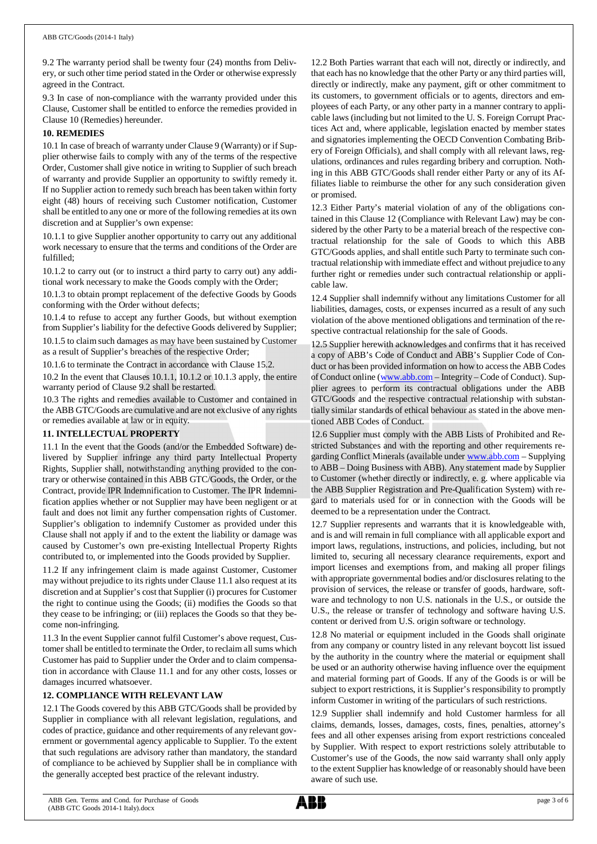9.2 The warranty period shall be twenty four (24) months from Delivery, or such other time period stated in the Order or otherwise expressly agreed in the Contract.

9.3 In case of non-compliance with the warranty provided under this Clause, Customer shall be entitled to enforce the remedies provided in Clause 10 (Remedies) hereunder.

#### **10. REMEDIES**

10.1 In case of breach of warranty under Clause 9 (Warranty) or if Supplier otherwise fails to comply with any of the terms of the respective Order, Customer shall give notice in writing to Supplier of such breach of warranty and provide Supplier an opportunity to swiftly remedy it. If no Supplier action to remedy such breach has been taken within forty eight (48) hours of receiving such Customer notification, Customer shall be entitled to any one or more of the following remedies at its own discretion and at Supplier's own expense:

10.1.1 to give Supplier another opportunity to carry out any additional work necessary to ensure that the terms and conditions of the Order are fulfilled;

10.1.2 to carry out (or to instruct a third party to carry out) any additional work necessary to make the Goods comply with the Order;

10.1.3 to obtain prompt replacement of the defective Goods by Goods conforming with the Order without defects;

10.1.4 to refuse to accept any further Goods, but without exemption from Supplier's liability for the defective Goods delivered by Supplier;

10.1.5 to claim such damages as may have been sustained by Customer as a result of Supplier's breaches of the respective Order;

10.1.6 to terminate the Contract in accordance with Clause 15.2.

10.2 In the event that Clauses 10.1.1, 10.1.2 or 10.1.3 apply, the entire warranty period of Clause 9.2 shall be restarted.

10.3 The rights and remedies available to Customer and contained in the ABB GTC/Goods are cumulative and are not exclusive of any rights or remedies available at law or in equity.

#### **11. INTELLECTUAL PROPERTY**

11.1 In the event that the Goods (and/or the Embedded Software) delivered by Supplier infringe any third party Intellectual Property Rights, Supplier shall, notwithstanding anything provided to the contrary or otherwise contained in this ABB GTC/Goods, the Order, or the Contract, provide IPR Indemnification to Customer. The IPR Indemnification applies whether or not Supplier may have been negligent or at fault and does not limit any further compensation rights of Customer. Supplier's obligation to indemnify Customer as provided under this Clause shall not apply if and to the extent the liability or damage was caused by Customer's own pre-existing Intellectual Property Rights contributed to, or implemented into the Goods provided by Supplier.

11.2 If any infringement claim is made against Customer, Customer may without prejudice to its rights under Clause 11.1 also request at its discretion and at Supplier's cost that Supplier (i) procures for Customer the right to continue using the Goods; (ii) modifies the Goods so that they cease to be infringing; or (iii) replaces the Goods so that they become non-infringing.

11.3 In the event Supplier cannot fulfil Customer's above request, Customer shall be entitled to terminate the Order, to reclaim all sums which Customer has paid to Supplier under the Order and to claim compensation in accordance with Clause 11.1 and for any other costs, losses or damages incurred whatsoever.

#### **12. COMPLIANCE WITH RELEVANT LAW**

12.1 The Goods covered by this ABB GTC/Goods shall be provided by Supplier in compliance with all relevant legislation, regulations, and codes of practice, guidance and other requirements of any relevant government or governmental agency applicable to Supplier. To the extent that such regulations are advisory rather than mandatory, the standard of compliance to be achieved by Supplier shall be in compliance with the generally accepted best practice of the relevant industry.

12.2 Both Parties warrant that each will not, directly or indirectly, and that each has no knowledge that the other Party or any third parties will, directly or indirectly, make any payment, gift or other commitment to its customers, to government officials or to agents, directors and employees of each Party, or any other party in a manner contrary to applicable laws (including but not limited to the U. S. Foreign Corrupt Practices Act and, where applicable, legislation enacted by member states and signatories implementing the OECD Convention Combating Bribery of Foreign Officials), and shall comply with all relevant laws, regulations, ordinances and rules regarding bribery and corruption. Nothing in this ABB GTC/Goods shall render either Party or any of its Affiliates liable to reimburse the other for any such consideration given or promised.

12.3 Either Party's material violation of any of the obligations contained in this Clause 12 (Compliance with Relevant Law) may be considered by the other Party to be a material breach of the respective contractual relationship for the sale of Goods to which this ABB GTC/Goods applies, and shall entitle such Party to terminate such contractual relationship with immediate effect and without prejudice to any further right or remedies under such contractual relationship or applicable law.

12.4 Supplier shall indemnify without any limitations Customer for all liabilities, damages, costs, or expenses incurred as a result of any such violation of the above mentioned obligations and termination of the respective contractual relationship for the sale of Goods.

12.5 Supplier herewith acknowledges and confirms that it has received a copy of ABB's Code of Conduct and ABB's Supplier Code of Conduct or has been provided information on how to access the ABB Codes of Conduct online ([www.abb.com](http://www.abb.com/) – Integrity – Code of Conduct). Supplier agrees to perform its contractual obligations under the ABB GTC/Goods and the respective contractual relationship with substantially similar standards of ethical behaviour as stated in the above mentioned ABB Codes of Conduct.

12.6 Supplier must comply with the ABB Lists of Prohibited and Restricted Substances and with the reporting and other requirements regarding Conflict Minerals (available under [www.abb.com](http://www.abb.com/) – Supplying to ABB – Doing Business with ABB). Any statement made by Supplier to Customer (whether directly or indirectly, e. g. where applicable via the ABB Supplier Registration and Pre-Qualification System) with regard to materials used for or in connection with the Goods will be deemed to be a representation under the Contract.

12.7 Supplier represents and warrants that it is knowledgeable with, and is and will remain in full compliance with all applicable export and import laws, regulations, instructions, and policies, including, but not limited to, securing all necessary clearance requirements, export and import licenses and exemptions from, and making all proper filings with appropriate governmental bodies and/or disclosures relating to the provision of services, the release or transfer of goods, hardware, software and technology to non U.S. nationals in the U.S., or outside the U.S., the release or transfer of technology and software having U.S. content or derived from U.S. origin software or technology.

12.8 No material or equipment included in the Goods shall originate from any company or country listed in any relevant boycott list issued by the authority in the country where the material or equipment shall be used or an authority otherwise having influence over the equipment and material forming part of Goods. If any of the Goods is or will be subject to export restrictions, it is Supplier's responsibility to promptly inform Customer in writing of the particulars of such restrictions.

12.9 Supplier shall indemnify and hold Customer harmless for all claims, demands, losses, damages, costs, fines, penalties, attorney's fees and all other expenses arising from export restrictions concealed by Supplier. With respect to export restrictions solely attributable to Customer's use of the Goods, the now said warranty shall only apply to the extent Supplier has knowledge of or reasonably should have been aware of such use.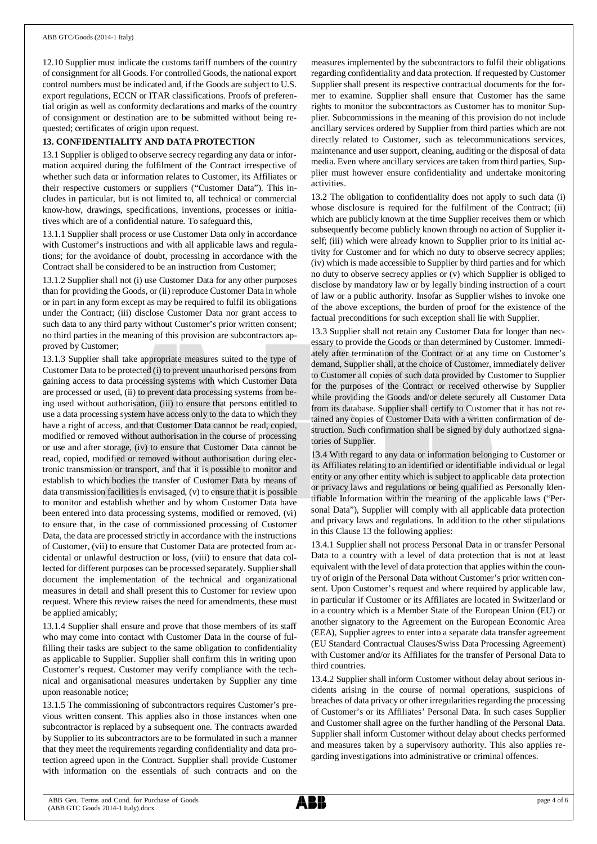12.10 Supplier must indicate the customs tariff numbers of the country of consignment for all Goods. For controlled Goods, the national export control numbers must be indicated and, if the Goods are subject to U.S. export regulations, ECCN or ITAR classifications. Proofs of preferential origin as well as conformity declarations and marks of the country of consignment or destination are to be submitted without being requested; certificates of origin upon request.

#### **13. CONFIDENTIALITY AND DATA PROTECTION**

13.1 Supplier is obliged to observe secrecy regarding any data or information acquired during the fulfilment of the Contract irrespective of whether such data or information relates to Customer, its Affiliates or their respective customers or suppliers ("Customer Data"). This includes in particular, but is not limited to, all technical or commercial know-how, drawings, specifications, inventions, processes or initiatives which are of a confidential nature. To safeguard this,

13.1.1 Supplier shall process or use Customer Data only in accordance with Customer's instructions and with all applicable laws and regulations; for the avoidance of doubt, processing in accordance with the Contract shall be considered to be an instruction from Customer;

13.1.2 Supplier shall not (i) use Customer Data for any other purposes than for providing the Goods, or (ii) reproduce Customer Data in whole or in part in any form except as may be required to fulfil its obligations under the Contract; (iii) disclose Customer Data nor grant access to such data to any third party without Customer's prior written consent; no third parties in the meaning of this provision are subcontractors approved by Customer;

13.1.3 Supplier shall take appropriate measures suited to the type of Customer Data to be protected (i) to prevent unauthorised persons from gaining access to data processing systems with which Customer Data are processed or used, (ii) to prevent data processing systems from being used without authorisation, (iii) to ensure that persons entitled to use a data processing system have access only to the data to which they have a right of access, and that Customer Data cannot be read, copied, modified or removed without authorisation in the course of processing or use and after storage, (iv) to ensure that Customer Data cannot be read, copied, modified or removed without authorisation during electronic transmission or transport, and that it is possible to monitor and establish to which bodies the transfer of Customer Data by means of data transmission facilities is envisaged, (v) to ensure that it is possible to monitor and establish whether and by whom Customer Data have been entered into data processing systems, modified or removed, (vi) to ensure that, in the case of commissioned processing of Customer Data, the data are processed strictly in accordance with the instructions of Customer, (vii) to ensure that Customer Data are protected from accidental or unlawful destruction or loss, (viii) to ensure that data collected for different purposes can be processed separately. Supplier shall document the implementation of the technical and organizational measures in detail and shall present this to Customer for review upon request. Where this review raises the need for amendments, these must be applied amicably;

13.1.4 Supplier shall ensure and prove that those members of its staff who may come into contact with Customer Data in the course of fulfilling their tasks are subject to the same obligation to confidentiality as applicable to Supplier. Supplier shall confirm this in writing upon Customer's request. Customer may verify compliance with the technical and organisational measures undertaken by Supplier any time upon reasonable notice;

13.1.5 The commissioning of subcontractors requires Customer's previous written consent. This applies also in those instances when one subcontractor is replaced by a subsequent one. The contracts awarded by Supplier to its subcontractors are to be formulated in such a manner that they meet the requirements regarding confidentiality and data protection agreed upon in the Contract. Supplier shall provide Customer with information on the essentials of such contracts and on the

measures implemented by the subcontractors to fulfil their obligations regarding confidentiality and data protection. If requested by Customer Supplier shall present its respective contractual documents for the former to examine. Supplier shall ensure that Customer has the same rights to monitor the subcontractors as Customer has to monitor Supplier. Subcommissions in the meaning of this provision do not include ancillary services ordered by Supplier from third parties which are not directly related to Customer, such as telecommunications services, maintenance and user support, cleaning, auditing or the disposal of data media. Even where ancillary services are taken from third parties, Supplier must however ensure confidentiality and undertake monitoring activities.

13.2 The obligation to confidentiality does not apply to such data (i) whose disclosure is required for the fulfilment of the Contract; (ii) which are publicly known at the time Supplier receives them or which subsequently become publicly known through no action of Supplier itself; (iii) which were already known to Supplier prior to its initial activity for Customer and for which no duty to observe secrecy applies; (iv) which is made accessible to Supplier by third parties and for which no duty to observe secrecy applies or (v) which Supplier is obliged to disclose by mandatory law or by legally binding instruction of a court of law or a public authority. Insofar as Supplier wishes to invoke one of the above exceptions, the burden of proof for the existence of the factual preconditions for such exception shall lie with Supplier.

13.3 Supplier shall not retain any Customer Data for longer than necessary to provide the Goods or than determined by Customer. Immediately after termination of the Contract or at any time on Customer's demand, Supplier shall, at the choice of Customer, immediately deliver to Customer all copies of such data provided by Customer to Supplier for the purposes of the Contract or received otherwise by Supplier while providing the Goods and/or delete securely all Customer Data from its database. Supplier shall certify to Customer that it has not retained any copies of Customer Data with a written confirmation of destruction. Such confirmation shall be signed by duly authorized signatories of Supplier.

13.4 With regard to any data or information belonging to Customer or its Affiliates relating to an identified or identifiable individual or legal entity or any other entity which is subject to applicable data protection or privacy laws and regulations or being qualified as Personally Identifiable Information within the meaning of the applicable laws ("Personal Data"), Supplier will comply with all applicable data protection and privacy laws and regulations. In addition to the other stipulations in this Clause 13 the following applies:

13.4.1 Supplier shall not process Personal Data in or transfer Personal Data to a country with a level of data protection that is not at least equivalent with the level of data protection that applies within the country of origin of the Personal Data without Customer's prior written consent. Upon Customer's request and where required by applicable law, in particular if Customer or its Affiliates are located in Switzerland or in a country which is a Member State of the European Union (EU) or another signatory to the Agreement on the European Economic Area (EEA), Supplier agrees to enter into a separate data transfer agreement (EU Standard Contractual Clauses/Swiss Data Processing Agreement) with Customer and/or its Affiliates for the transfer of Personal Data to third countries.

13.4.2 Supplier shall inform Customer without delay about serious incidents arising in the course of normal operations, suspicions of breaches of data privacy or other irregularities regarding the processing of Customer's or its Affiliates' Personal Data. In such cases Supplier and Customer shall agree on the further handling of the Personal Data. Supplier shall inform Customer without delay about checks performed and measures taken by a supervisory authority. This also applies regarding investigations into administrative or criminal offences.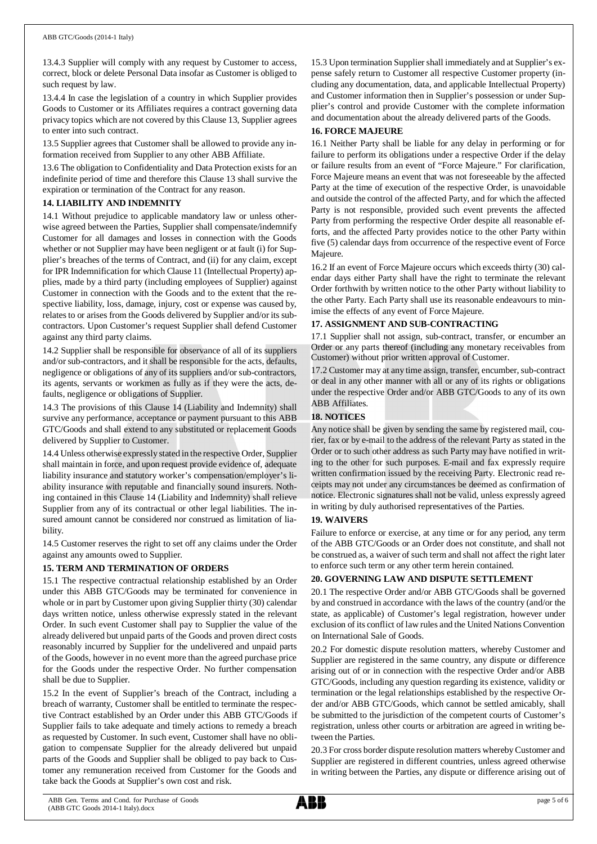13.4.3 Supplier will comply with any request by Customer to access, correct, block or delete Personal Data insofar as Customer is obliged to such request by law.

13.4.4 In case the legislation of a country in which Supplier provides Goods to Customer or its Affiliates requires a contract governing data privacy topics which are not covered by this Clause 13, Supplier agrees to enter into such contract.

13.5 Supplier agrees that Customer shall be allowed to provide any information received from Supplier to any other ABB Affiliate.

13.6 The obligation to Confidentiality and Data Protection exists for an indefinite period of time and therefore this Clause 13 shall survive the expiration or termination of the Contract for any reason.

#### **14. LIABILITY AND INDEMNITY**

14.1 Without prejudice to applicable mandatory law or unless otherwise agreed between the Parties, Supplier shall compensate/indemnify Customer for all damages and losses in connection with the Goods whether or not Supplier may have been negligent or at fault (i) for Supplier's breaches of the terms of Contract, and (ii) for any claim, except for IPR Indemnification for which Clause 11 (Intellectual Property) applies, made by a third party (including employees of Supplier) against Customer in connection with the Goods and to the extent that the respective liability, loss, damage, injury, cost or expense was caused by, relates to or arises from the Goods delivered by Supplier and/or its subcontractors. Upon Customer's request Supplier shall defend Customer against any third party claims.

14.2 Supplier shall be responsible for observance of all of its suppliers and/or sub-contractors, and it shall be responsible for the acts, defaults, negligence or obligations of any of its suppliers and/or sub-contractors, its agents, servants or workmen as fully as if they were the acts, defaults, negligence or obligations of Supplier.

14.3 The provisions of this Clause 14 (Liability and Indemnity) shall survive any performance, acceptance or payment pursuant to this ABB GTC/Goods and shall extend to any substituted or replacement Goods delivered by Supplier to Customer.

14.4 Unless otherwise expressly stated in the respective Order, Supplier shall maintain in force, and upon request provide evidence of, adequate liability insurance and statutory worker's compensation/employer's liability insurance with reputable and financially sound insurers. Nothing contained in this Clause 14 (Liability and Indemnity) shall relieve Supplier from any of its contractual or other legal liabilities. The insured amount cannot be considered nor construed as limitation of liability.

14.5 Customer reserves the right to set off any claims under the Order against any amounts owed to Supplier.

#### **15. TERM AND TERMINATION OF ORDERS**

15.1 The respective contractual relationship established by an Order under this ABB GTC/Goods may be terminated for convenience in whole or in part by Customer upon giving Supplier thirty (30) calendar days written notice, unless otherwise expressly stated in the relevant Order. In such event Customer shall pay to Supplier the value of the already delivered but unpaid parts of the Goods and proven direct costs reasonably incurred by Supplier for the undelivered and unpaid parts of the Goods, however in no event more than the agreed purchase price for the Goods under the respective Order. No further compensation shall be due to Supplier.

15.2 In the event of Supplier's breach of the Contract, including a breach of warranty, Customer shall be entitled to terminate the respective Contract established by an Order under this ABB GTC/Goods if Supplier fails to take adequate and timely actions to remedy a breach as requested by Customer. In such event, Customer shall have no obligation to compensate Supplier for the already delivered but unpaid parts of the Goods and Supplier shall be obliged to pay back to Customer any remuneration received from Customer for the Goods and take back the Goods at Supplier's own cost and risk.

15.3 Upon termination Supplier shall immediately and at Supplier's expense safely return to Customer all respective Customer property (including any documentation, data, and applicable Intellectual Property) and Customer information then in Supplier's possession or under Supplier's control and provide Customer with the complete information and documentation about the already delivered parts of the Goods.

#### **16. FORCE MAJEURE**

16.1 Neither Party shall be liable for any delay in performing or for failure to perform its obligations under a respective Order if the delay or failure results from an event of "Force Majeure." For clarification, Force Majeure means an event that was not foreseeable by the affected Party at the time of execution of the respective Order, is unavoidable and outside the control of the affected Party, and for which the affected Party is not responsible, provided such event prevents the affected Party from performing the respective Order despite all reasonable efforts, and the affected Party provides notice to the other Party within five (5) calendar days from occurrence of the respective event of Force Majeure.

16.2 If an event of Force Majeure occurs which exceeds thirty (30) calendar days either Party shall have the right to terminate the relevant Order forthwith by written notice to the other Party without liability to the other Party. Each Party shall use its reasonable endeavours to minimise the effects of any event of Force Majeure.

#### **17. ASSIGNMENT AND SUB-CONTRACTING**

17.1 Supplier shall not assign, sub-contract, transfer, or encumber an Order or any parts thereof (including any monetary receivables from Customer) without prior written approval of Customer.

17.2 Customer may at any time assign, transfer, encumber, sub-contract or deal in any other manner with all or any of its rights or obligations under the respective Order and/or ABB GTC/Goods to any of its own ABB Affiliates.

### **18. NOTICES**

Any notice shall be given by sending the same by registered mail, courier, fax or by e-mail to the address of the relevant Party as stated in the Order or to such other address as such Party may have notified in writing to the other for such purposes. E-mail and fax expressly require written confirmation issued by the receiving Party. Electronic read receipts may not under any circumstances be deemed as confirmation of notice. Electronic signatures shall not be valid, unless expressly agreed in writing by duly authorised representatives of the Parties.

#### **19. WAIVERS**

Failure to enforce or exercise, at any time or for any period, any term of the ABB GTC/Goods or an Order does not constitute, and shall not be construed as, a waiver of such term and shall not affect the right later to enforce such term or any other term herein contained.

#### **20. GOVERNING LAW AND DISPUTE SETTLEMENT**

20.1 The respective Order and/or ABB GTC/Goods shall be governed by and construed in accordance with the laws of the country (and/or the state, as applicable) of Customer's legal registration, however under exclusion of its conflict of law rules and the United Nations Convention on International Sale of Goods.

20.2 For domestic dispute resolution matters, whereby Customer and Supplier are registered in the same country, any dispute or difference arising out of or in connection with the respective Order and/or ABB GTC/Goods, including any question regarding its existence, validity or termination or the legal relationships established by the respective Order and/or ABB GTC/Goods, which cannot be settled amicably, shall be submitted to the jurisdiction of the competent courts of Customer's registration, unless other courts or arbitration are agreed in writing between the Parties.

20.3 For cross border dispute resolution matters whereby Customer and Supplier are registered in different countries, unless agreed otherwise in writing between the Parties, any dispute or difference arising out of